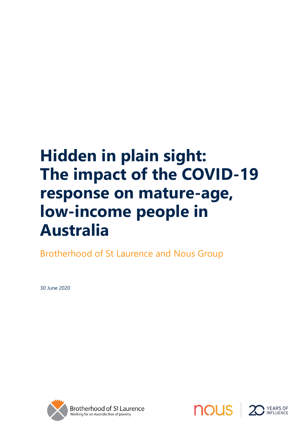## **Hidden in plain sight: The impact of the COVID-19 response on mature-age, low-income people in Australia**

Brotherhood of St Laurence and Nous Group

30 June 2020





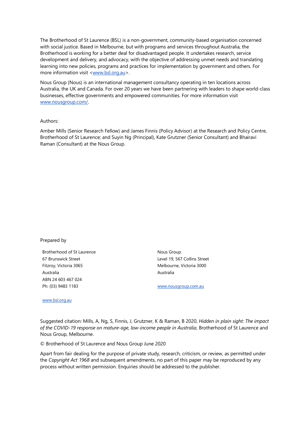The Brotherhood of St Laurence (BSL) is a non-government, community-based organisation concerned with social justice. Based in Melbourne, but with programs and services throughout Australia, the Brotherhood is working for a better deal for disadvantaged people. It undertakes research, service development and delivery, and advocacy, with the objective of addressing unmet needs and translating learning into new policies, programs and practices for implementation by government and others. For more information visit [<www.bsl.org.au>](http://www.bsl.org.au/).

Nous Group (Nous) is an international management consultancy operating in ten locations across Australia, the UK and Canada. For over 20 years we have been partnering with leaders to shape world-class businesses, effective governments and empowered communities. For more information visit [www.nousgroup.com/.](http://www.nousgroup.com/)

#### Authors:

Amber Mills (Senior Research Fellow) and James Finnis (Policy Advisor) at the Research and Policy Centre, Brotherhood of St Laurence; and Suyin Ng (Principal), Kate Grutzner (Senior Consultant) and Bhairavi Raman (Consultant) at the Nous Group.

#### Prepared by

Brotherhood of St Laurence 67 Brunswick Street Fitzroy, Victoria 3065 Australia ABN 24 603 467 024 Ph: (03) 9483 1183

Nous Group Level 19, 567 Collins Street Melbourne, Victoria 3000 Australia

[www.nousgroup.com.au](http://www.nousgroup.com.au/)

[www.bsl.org.au](http://www.bsl.org.au/)

Suggested citation: Mills, A, Ng, S, Finnis, J, Grutzner, K & Raman, B 2020, *Hidden in plain sight: The impact of the COVID-19 response on mature-age, low-income people in Australia*, Brotherhood of St Laurence and Nous Group, Melbourne.

© Brotherhood of St Laurence and Nous Group June 2020

Apart from fair dealing for the purpose of private study, research, criticism, or review, as permitted under the *Copyright Act 1968* and subsequent amendments, no part of this paper may be reproduced by any process without written permission. Enquiries should be addressed to the publisher.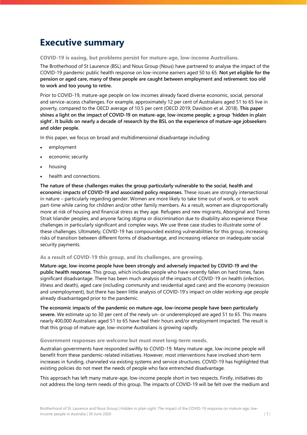## **Executive summary**

**COVID-19 is easing, but problems persist for mature-age, low-income Australians.**

The Brotherhood of St Laurence (BSL) and Nous Group (Nous) have partnered to analyse the impact of the COVID-19 pandemic public health response on low-income earners aged 50 to 65. **Not yet eligible for the pension or aged care, many of these people are caught between employment and retirement: too old to work and too young to retire.**

Prior to COVID-19, mature-age people on low incomes already faced diverse economic, social, personal and service-access challenges. For example, approximately 12 per cent of Australians aged 51 to 65 live in poverty, compared to the OECD average of 10.5 per cent (OECD 2019; Davidson et al. 2018). **This paper shines a light on the impact of COVID-19 on mature-age, low-income people; a group 'hidden in plain sight'. It builds on nearly a decade of research by the BSL on the experience of mature-age jobseekers and older people.**

In this paper, we focus on broad and multidimensional disadvantage including:

- employment
- economic security
- housing
- health and connections.

**The nature of these challenges makes the group particularly vulnerable to the social, health and economic impacts of COVID-19 and associated policy responses.** These issues are strongly intersectional in nature – particularly regarding gender. Women are more likely to take time out of work, or to work part-time while caring for children and/or other family members. As a result, women are disproportionally more at risk of housing and financial stress as they age. Refugees and new migrants, Aboriginal and Torres Strait Islander peoples, and anyone facing stigma or discrimination due to disability also experience these challenges in particularly significant and complex ways. We use three case studies to illustrate some of these challenges. Ultimately, COVID-19 has compounded existing vulnerabilities for this group, increasing risks of transition between different forms of disadvantage, and increasing reliance on inadequate social security payments.

#### **As a result of COVID-19 this group, and its challenges, are growing.**

**Mature-age, low-income people have been strongly and adversely impacted by COVID-19 and the public health response.** This group, which includes people who have recently fallen on hard times, faces significant disadvantage. There has been much analysis of the impacts of COVID-19 on health (infection, illness and death), aged care (including community and residential aged care) and the economy (recession and unemployment), but there has been little analysis of COVID-19's impact on older working-age people already disadvantaged prior to the pandemic.

**The economic impacts of the pandemic on mature-age, low-income people have been particularly severe.** We estimate up to 30 per cent of the newly un- or underemployed are aged 51 to 65. This means nearly 400,000 Australians aged 51 to 65 have had their hours and/or employment impacted. The result is that this group of mature-age, low-income Australians is growing rapidly.

#### **Government responses are welcome but must meet long-term needs.**

Australian governments have responded swiftly to COVID-19. Many mature-age, low-income people will benefit from these pandemic-related initiatives. However, most interventions have involved short-term increases in funding, channeled via existing systems and service structures. COVID-19 has highlighted that existing policies do not meet the needs of people who face entrenched disadvantage.

This approach has left many mature-age, low-income people short in two respects. Firstly, initiatives do not address the long-term needs of this group. The impacts of COVID-19 will be felt over the medium and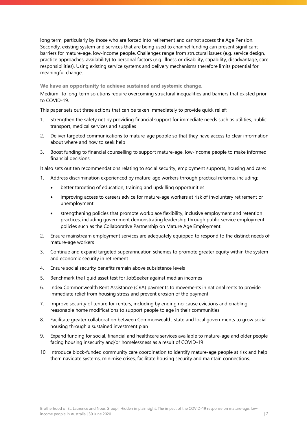long term, particularly by those who are forced into retirement and cannot access the Age Pension. Secondly, existing system and services that are being used to channel funding can present significant barriers for mature-age, low-income people. Challenges range from structural issues (e.g. service design, practice approaches, availability) to personal factors (e.g. illness or disability, capability, disadvantage, care responsibilities). Using existing service systems and delivery mechanisms therefore limits potential for meaningful change.

**We have an opportunity to achieve sustained and systemic change.**

Medium- to long-term solutions require overcoming structural inequalities and barriers that existed prior to COVID-19.

This paper sets out three actions that can be taken immediately to provide quick relief:

- 1. Strengthen the safety net by providing financial support for immediate needs such as utilities, public transport, medical services and supplies
- 2. Deliver targeted communications to mature-age people so that they have access to clear information about where and how to seek help
- 3. Boost funding to financial counselling to support mature-age, low-income people to make informed financial decisions.

It also sets out ten recommendations relating to social security, employment supports, housing and care:

- 1. Address discrimination experienced by mature-age workers through practical reforms, including:
	- better targeting of education, training and upskilling opportunities
	- improving access to careers advice for mature-age workers at risk of involuntary retirement or unemployment
	- strengthening policies that promote workplace flexibility, inclusive employment and retention practices, including government demonstrating leadership through public service employment policies such as the Collaborative Partnership on Mature Age Employment.
- 2. Ensure mainstream employment services are adequately equipped to respond to the distinct needs of mature-age workers
- 3. Continue and expand targeted superannuation schemes to promote greater equity within the system and economic security in retirement
- 4. Ensure social security benefits remain above subsistence levels
- 5. Benchmark the liquid asset test for JobSeeker against median incomes
- 6. Index Commonwealth Rent Assistance (CRA) payments to movements in national rents to provide immediate relief from housing stress and prevent erosion of the payment
- 7. Improve security of tenure for renters, including by ending no-cause evictions and enabling reasonable home modifications to support people to age in their communities
- 8. Facilitate greater collaboration between Commonwealth, state and local governments to grow social housing through a sustained investment plan
- 9. Expand funding for social, financial and healthcare services available to mature-age and older people facing housing insecurity and/or homelessness as a result of COVID-19
- 10. Introduce block-funded community care coordination to identify mature-age people at risk and help them navigate systems, minimise crises, facilitate housing security and maintain connections.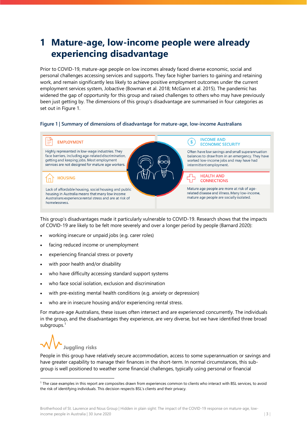## **1 Mature-age, low-income people were already experiencing disadvantage**

Prior to COVID-19, mature-age people on low incomes already faced diverse economic, social and personal challenges accessing services and supports. They face higher barriers to gaining and retaining work, and remain significantly less likely to achieve positive employment outcomes under the current employment services system, Jobactive (Bowman et al. 2018; McGann et al. 2015). The pandemic has widened the gap of opportunity for this group and raised challenges to others who may have previously been just getting by. The dimensions of this group's disadvantage are summarised in four categories as set out in [Figure 1.](#page-4-0) 

### <span id="page-4-0"></span>**Figure 1 | Summary of dimensions of disadvantage for mature-age, low-income Australians**



This group's disadvantages made it particularly vulnerable to COVID-19. Research shows that the impacts of COVID-19 are likely to be felt more severely and over a longer period by people (Barnard 2020):

- working insecure or unpaid jobs (e.g. carer roles)
- facing reduced income or unemployment
- experiencing financial stress or poverty
- with poor health and/or disability
- who have difficulty accessing standard support systems
- who face social isolation, exclusion and discrimination
- with pre-existing mental health conditions (e.g. anxiety or depression)
- who are in insecure housing and/or experiencing rental stress.

For mature-age Australians, these issues often intersect and are experienced concurrently. The individuals in the group, and the disadvantages they experience, are very diverse, but we have identified three broad subgroups.<sup>[1](#page-4-1)</sup>

**Juggling risks** 

People in this group have relatively secure accommodation, access to some superannuation or savings and have greater capability to manage their finances in the short-term. In normal circumstances, this subgroup is well positioned to weather some financial challenges, typically using personal or financial

<span id="page-4-1"></span><sup>&</sup>lt;sup>1</sup> The case examples in this report are composites drawn from experiences common to clients who interact with BSL services, to avoid the risk of identifying individuals. This decision respects BSL's clients and their privacy.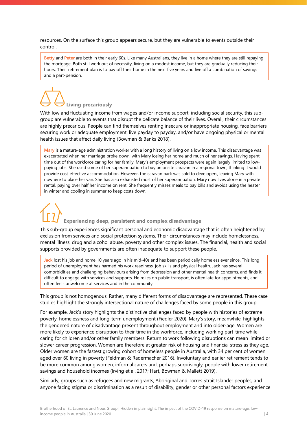resources. On the surface this group appears secure, but they are vulnerable to events outside their control.

**Betty** and **Peter** are both in their early 60s. Like many Australians, they live in a home where they are still repaying the mortgage. Both still work out of necessity, living on a modest income, but they are gradually reducing their hours. Their retirement plan is to pay off their home in the next five years and live off a combination of savings and a part-pension.

# **Living precariously**

With low and fluctuating income from wages and/or income support, including social security, this subgroup are vulnerable to events that disrupt the delicate balance of their lives. Overall, their circumstances are highly precarious. People can find themselves renting insecure or inappropriate housing, face barriers securing work or adequate employment, live payday to payday, and/or have ongoing physical or mental health issues that affect daily living (Bowman & Banks 2018).

**Mary** is a mature-age administration worker with a long history of living on a low income. This disadvantage was exacerbated when her marriage broke down, with Mary losing her home and much of her savings. Having spent time out of the workforce caring for her family, Mary's employment prospects were again largely limited to lowpaying jobs. She used some of her superannuation to buy an onsite caravan in a regional town, thinking it would provide cost-effective accommodation. However, the caravan park was sold to developers, leaving Mary with nowhere to place her van. She has also exhausted most of her superannuation. Mary now lives alone in a private rental, paying over half her income on rent. She frequently misses meals to pay bills and avoids using the heater in winter and cooling in summer to keep costs down.

## **Experiencing deep, persistent and complex disadvantage**

This sub-group experiences significant personal and economic disadvantage that is often heightened by exclusion from services and social protection systems. Their circumstances may include homelessness, mental illness, drug and alcohol abuse, poverty and other complex issues. The financial, health and social supports provided by governments are often inadequate to support these people.

**Jack** lost his job and home 10 years ago in his mid-40s and has been periodically homeless ever since. This long period of unemployment has harmed his work readiness, job skills and physical health. Jack has several comorbidities and challenging behaviours arising from depression and other mental health concerns, and finds it difficult to engage with services and supports. He relies on public transport, is often late for appointments, and often feels unwelcome at services and in the community.

This group is not homogenous. Rather, many different forms of disadvantage are represented. These case studies highlight the strongly intersectional nature of challenges faced by some people in this group.

For example, Jack's story highlights the distinctive challenges faced by people with histories of extreme poverty, homelessness and long-term unemployment (Fiedler 2020). Mary's story, meanwhile, highlights the gendered nature of disadvantage present throughout employment and into older-age. Women are more likely to experience disruption to their time in the workforce, including working part-time while caring for children and/or other family members. Return to work following disruptions can mean limited or slower career progression. Women are therefore at greater risk of housing and financial stress as they age. Older women are the fastest growing cohort of homeless people in Australia, with 34 per cent of women aged over 60 living in poverty (Feldman & Radermacher 2016). Involuntary and earlier retirement tends to be more common among women, informal carers and, perhaps surprisingly, people with lower retirement savings and household incomes (Irving et al. 2017; Hart, Bowman & Mallett 2019).

Similarly, groups such as refugees and new migrants, Aboriginal and Torres Strait Islander peoples, and anyone facing stigma or discrimination as a result of disability, gender or other personal factors experience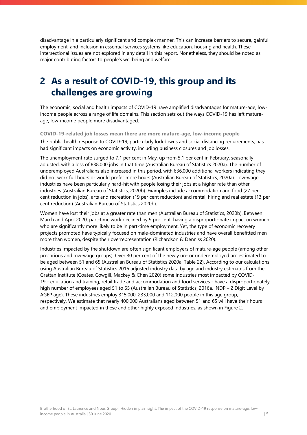disadvantage in a particularly significant and complex manner. This can increase barriers to secure, gainful employment, and inclusion in essential services systems like education, housing and health. These intersectional issues are not explored in any detail in this report. Nonetheless, they should be noted as major contributing factors to people's wellbeing and welfare.

## **2 As a result of COVID-19, this group and its challenges are growing**

The economic, social and health impacts of COVID-19 have amplified disadvantages for mature-age, lowincome people across a range of life domains. This section sets out the ways COVID-19 has left matureage, low-income people more disadvantaged.

**COVID-19-related job losses mean there are more mature-age, low-income people**

The public health response to COVID-19, particularly lockdowns and social distancing requirements, has had significant impacts on economic activity, including business closures and job losses.

The unemployment rate surged to 7.1 per cent in May, up from 5.1 per cent in February, seasonally adjusted, with a loss of 838,000 jobs in that time (Australian Bureau of Statistics 2020a). The number of underemployed Australians also increased in this period, with 636,000 additional workers indicating they did not work full hours or would prefer more hours (Australian Bureau of Statistics, 2020a). Low-wage industries have been particularly hard-hit with people losing their jobs at a higher rate than other industries (Australian Bureau of Statistics, 2020b). Examples include accommodation and food (27 per cent reduction in jobs), arts and recreation (19 per cent reduction) and rental, hiring and real estate (13 per cent reduction) (Australian Bureau of Statistics 2020b).

Women have lost their jobs at a greater rate than men (Australian Bureau of Statistics, 2020b). Between March and April 2020, part-time work declined by 9 per cent, having a disproportionate impact on women who are significantly more likely to be in part-time employment. Yet, the type of economic recovery projects promoted have typically focused on male-dominated industries and have overall benefitted men more than women, despite their overrepresentation (Richardson & Denniss 2020).

Industries impacted by the shutdown are often significant employers of mature-age people (among other precarious and low-wage groups). Over 30 per cent of the newly un- or underemployed are estimated to be aged between 51 and 65 (Australian Bureau of Statistics 2020a, Table 22). According to our calculations using Australian Bureau of Statistics 2016 adjusted industry data by age and industry estimates from the Grattan Institute (Coates, Cowgill, Mackey & Chen 2020) some industries most impacted by COVID-19 - education and training, retail trade and accommodation and food services - have a disproportionately high number of employees aged 51 to 65 (Australian Bureau of Statistics, 2016a, INDP – 2 Digit Level by AGEP age). These industries employ 315,000, 233,000 and 112,000 people in this age group, respectively. We estimate that nearly 400,000 Australians aged between 51 and 65 will have their hours and employment impacted in these and other highly exposed industries, as shown in Figure 2.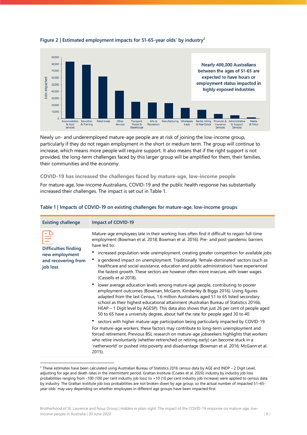

#### **Figure 2 | Estimated employment impacts for 51-65-year olds' by industry[2](#page-7-1)**

Newly un- and underemployed mature-age people are at risk of joining the low-income group, particularly if they do not regain employment in the short or medium term. The group will continue to increase, which means more people will require support. It also means that if the right support is not provided, the long-term challenges faced by this larger group will be amplified for them, their families, their communities and the economy.

#### **COVID-19 has increased the challenges faced by mature-age, low-income people**

For mature-age, low-income Australians, COVID-19 and the public health response has substantially increased their challenges. The impact is set out i[n Table 1.](#page-7-0)

| <b>Existing challenge</b>                                                 | <b>Impact of COVID-19</b>                                                                                                                                                                                                                                                                                                                                                                                                                                                                                                                                                                                                                                                                                                                                                                                                                                                                                                                                                                                                                                                                                                                                                                                                                                                                                                                                                                                                                                                                                                                                                                                               |
|---------------------------------------------------------------------------|-------------------------------------------------------------------------------------------------------------------------------------------------------------------------------------------------------------------------------------------------------------------------------------------------------------------------------------------------------------------------------------------------------------------------------------------------------------------------------------------------------------------------------------------------------------------------------------------------------------------------------------------------------------------------------------------------------------------------------------------------------------------------------------------------------------------------------------------------------------------------------------------------------------------------------------------------------------------------------------------------------------------------------------------------------------------------------------------------------------------------------------------------------------------------------------------------------------------------------------------------------------------------------------------------------------------------------------------------------------------------------------------------------------------------------------------------------------------------------------------------------------------------------------------------------------------------------------------------------------------------|
| Difficulties finding<br>new employment<br>and recovering from<br>job loss | Mature-age employees late in their working lives often find it difficult to regain full-time<br>employment (Bowman et al. 2018; Bowman et al. 2016). Pre- and post-pandemic barriers<br>have led to:<br>increased population-wide unemployment, creating greater competition for available jobs<br>a gendered impact on unemployment. Traditionally 'female-dominated' sectors (such as<br>healthcare and social assistance, education and public administration) have experienced<br>the fastest growth. These sectors are however often more insecure, with lower wages<br>(Cassells et al 2018).<br>lower average education levels among mature-age people, contributing to poorer<br>employment outcomes (Bowman, McGann, Kimberley & Biggs 2016). Using figures<br>adapted from the last Census, 1.6 million Australians aged 51 to 65 listed secondary<br>school as their highest educational attainment (Australian Bureau of Statistics 2016b,<br>HEAP - 1 Digit level by AGE5P). This data also shows that just 26 per cent of people aged<br>50 to 65 have a university degree, about half the rate for people aged 30 to 40.<br>• sectors with higher mature-age participation being particularly impacted by COVID-19.<br>For mature-age workers, these factors may contribute to long-term unemployment and<br>forced retirement. Previous BSL research on mature-age jobseekers highlights that workers<br>who retire involuntarily (whether retrenched or retiring early) can become stuck in a<br>'netherworld' or pushed into poverty and disadvantage (Bowman et al. 2016; McGann et al.<br>$2015$ ). |
|                                                                           |                                                                                                                                                                                                                                                                                                                                                                                                                                                                                                                                                                                                                                                                                                                                                                                                                                                                                                                                                                                                                                                                                                                                                                                                                                                                                                                                                                                                                                                                                                                                                                                                                         |

#### <span id="page-7-0"></span>**Table 1 | Impacts of COVID-19 on existing challenges for mature-age, low-income groups**

<span id="page-7-1"></span> $2$  These estimates have been calculated using Australian Bureau of Statistics 2016 census data by AGE and INDP – 2 Digit Level, adjusting for age and death rates in the intermittent period. Grattan Institute (Coates et al. 2020) industry by industry job loss probabilities ranging from -100 (100 per cent industry job loss) to +10 (10 per cent industry job increase) were applied to census data by industry. The Grattan Institute job loss probabilities are not broken down by age group, so the actual number of impacted 51–65 year olds' may vary depending on whether employees in different age groups have been impacted first.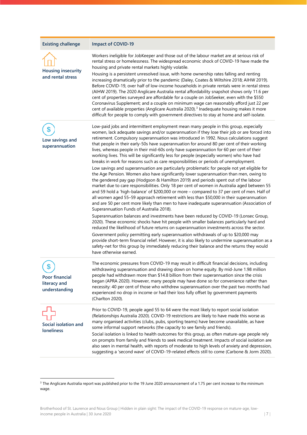| <b>Existing challenge</b>                             | Impact of COVID-19                                                                                                                                                                                                                                                                                                                                                                                                                                                                                                                                                                                                                                                                                                                                                                                                                                                                                                                                                                                                                                                                                                                                                                                                                                                                                                                                                                                                                                                                                                                                                                                                                                                                                                                                                                                                                                                                                                                                                                    |
|-------------------------------------------------------|---------------------------------------------------------------------------------------------------------------------------------------------------------------------------------------------------------------------------------------------------------------------------------------------------------------------------------------------------------------------------------------------------------------------------------------------------------------------------------------------------------------------------------------------------------------------------------------------------------------------------------------------------------------------------------------------------------------------------------------------------------------------------------------------------------------------------------------------------------------------------------------------------------------------------------------------------------------------------------------------------------------------------------------------------------------------------------------------------------------------------------------------------------------------------------------------------------------------------------------------------------------------------------------------------------------------------------------------------------------------------------------------------------------------------------------------------------------------------------------------------------------------------------------------------------------------------------------------------------------------------------------------------------------------------------------------------------------------------------------------------------------------------------------------------------------------------------------------------------------------------------------------------------------------------------------------------------------------------------------|
| <b>Housing insecurity</b><br>and rental stress        | Workers ineligible for JobKeeper and those out of the labour market are at serious risk of<br>rental stress or homelessness. The widespread economic shock of COVID-19 have made the<br>housing and private rental markets highly volatile.<br>Housing is a persistent unresolved issue, with home ownership rates falling and renting<br>increasing dramatically prior to the pandemic (Daley, Coates & Wiltshire 2018; AIHW 2019).<br>Before COVID-19, over half of low-income households in private rentals were in rental stress<br>(AIHW 2019). The 2020 Anglicare Australia rental affordability snapshot shows only 11.6 per<br>cent of properties surveyed are affordable for a couple on JobSeeker, even with the \$550<br>Coronavirus Supplement; and a couple on minimum wage can reasonably afford just 22 per<br>cent of available properties (Anglicare Australia 2020). <sup>3</sup> Inadequate housing makes it more<br>difficult for people to comply with government directives to stay at home and self-isolate.                                                                                                                                                                                                                                                                                                                                                                                                                                                                                                                                                                                                                                                                                                                                                                                                                                                                                                                                                   |
| Low savings and<br>superannuation                     | Low-paid jobs and intermittent employment mean many people in this group, especially<br>women, lack adequate savings and/or superannuation if they lose their job or are forced into<br>retirement. Compulsory superannuation was introduced in 1992. Nous calculations suggest<br>that people in their early-50s have superannuation for around 80 per cent of their working<br>lives, whereas people in their mid-60s only have superannuation for 60 per cent of their<br>working lives. This will be significantly less for people (especially women) who have had<br>breaks in work for reasons such as care responsibilities or periods of unemployment.<br>Low savings and superannuation are particularly problematic for people not yet eligible for<br>the Age Pension. Women also have significantly lower superannuation than men, owing to<br>the gendered pay gap (Hodgson & Hamilton 2019) and periods spent out of the labour<br>market due to care responsibilities. Only 18 per cent of women in Australia aged between 55<br>and 59 hold a 'high-balance' of \$200,000 or more - compared to 37 per cent of men. Half of<br>all women aged 55-59 approach retirement with less than \$50,000 in their superannuation<br>and are 50 per cent more likely than men to have inadequate superannuation (Association of<br>Superannuation Funds of Australia 2018).<br>Superannuation balances and investments have been reduced by COVID-19 (Lonsec Group,<br>2020). These economic shocks have hit people with smaller balances particularly hard and<br>reduced the likelihood of future returns on superannuation investments across the sector.<br>Government policy permitting early superannuation withdrawals of up to \$20,000 may<br>provide short-term financial relief. However, it is also likely to undermine superannuation as a<br>safety-net for this group by immediately reducing their balance and the returns they would<br>have otherwise earned. |
| \$<br>Poor financial<br>literacy and<br>understanding | The economic pressures from COVID-19 may result in difficult financial decisions, including<br>withdrawing superannuation and drawing down on home equity. By mid-June 1.98 million<br>people had withdrawn more than \$14.8 billion from their superannuation since the crisis<br>began (APRA 2020). However, many people may have done so for convenience rather than<br>necessity: 40 per cent of those who withdrew superannuation over the past two months had<br>experienced no drop in income or had their loss fully offset by government payments<br>(Charlton 2020).                                                                                                                                                                                                                                                                                                                                                                                                                                                                                                                                                                                                                                                                                                                                                                                                                                                                                                                                                                                                                                                                                                                                                                                                                                                                                                                                                                                                        |
| Social isolation and<br><b>loneliness</b>             | Prior to COVID-19, people aged 55 to 64 were the most likely to report social isolation<br>(Relationships Australia 2020). COVID-19 restrictions are likely to have made this worse as<br>many organised activities (clubs, pubs, sporting teams) have become unavailable, as have<br>some informal support networks (the capacity to see family and friends).<br>Social isolation is linked to health outcomes for this group, as often mature-age people rely<br>on prompts from family and friends to seek medical treatment. Impacts of social isolation are<br>also seen in mental health, with reports of moderate to high levels of anxiety and depression,<br>suggesting a 'second wave' of COVID-19-related effects still to come (Carbone & Jorm 2020).                                                                                                                                                                                                                                                                                                                                                                                                                                                                                                                                                                                                                                                                                                                                                                                                                                                                                                                                                                                                                                                                                                                                                                                                                     |

<span id="page-8-0"></span><sup>&</sup>lt;sup>3</sup> The Anglicare Australia report was published prior to the 19 June 2020 announcement of a 1.75 per cent increase to the minimum wage.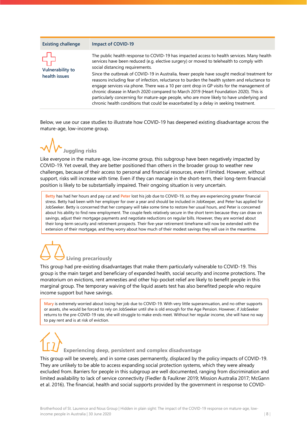#### **Existing challenge Impact of COVID-19**



The public health response to COVID-19 has impacted access to health services. Many health services have been reduced (e.g. elective surgery) or moved to telehealth to comply with social distancing requirements.

Since the outbreak of COVID-19 in Australia, fewer people have sought medical treatment for reasons including fear of infection, reluctance to burden the health system and reluctance to engage services via phone. There was a 10 per cent drop in GP visits for the management of chronic disease in March 2020 compared to March 2019 (Heart Foundation 2020). This is particularly concerning for mature-age people, who are more likely to have underlying and chronic health conditions that could be exacerbated by a delay in seeking treatment.

Below, we use our case studies to illustrate how COVID-19 has deepened existing disadvantage across the mature-age, low-income group.



Like everyone in the mature-age, low-income group, this subgroup have been negatively impacted by COVID-19. Yet overall, they are better positioned than others in the broader group to weather new challenges, because of their access to personal and financial resources, even if limited. However, without support, risks will increase with time. Even if they can manage in the short-term, their long-term financial position is likely to be substantially impaired. Their ongoing situation is very uncertain.

**Betty** has had her hours and pay cut and **Peter** lost his job due to COVID-19, so they are experiencing greater financial stress. Betty had been with her employer for over a year and should be included in JobKeeper, and Peter has applied for JobSeeker. Betty is concerned that her company will take some time to restore her usual hours, and Peter is concerned about his ability to find new employment. The couple feels relatively secure in the short term because they can draw on savings, adjust their mortgage payments and negotiate reductions on regular bills. However, they are worried about their long-term security and retirement prospects. Their five-year retirement timeframe will now be extended with the extension of their mortgage, and they worry about how much of their modest savings they will use in the meantime.

## **Living precariously**

This group had pre-existing disadvantages that make them particularly vulnerable to COVID-19. This group is the main target and beneficiary of expanded health, social security and income protections. The moratorium on evictions, rent amnesties and other hip-pocket relief are likely to benefit people in this marginal group. The temporary waiving of the liquid assets test has also benefited people who require income support but have savings.

**Mary** is extremely worried about losing her job due to COVID-19. With very little superannuation, and no other supports or assets, she would be forced to rely on JobSeeker until she is old enough for the Age Pension. However, if JobSeeker returns to the pre-COVID-19 rate, she will struggle to make ends meet. Without her regular income, she will have no way to pay rent and is at risk of eviction.

# **Experiencing deep, persistent and complex disadvantage**

This group will be severely, and in some cases permanently, displaced by the policy impacts of COVID-19. They are unlikely to be able to access expanding social protection systems, which they were already excluded from. Barriers for people in this subgroup are well documented, ranging from discrimination and limited availability to lack of service connectivity (Fiedler & Faulkner 2019; Mission Australia 2017; McGann et al. 2016). The financial, health and social supports provided by the government in response to COVID-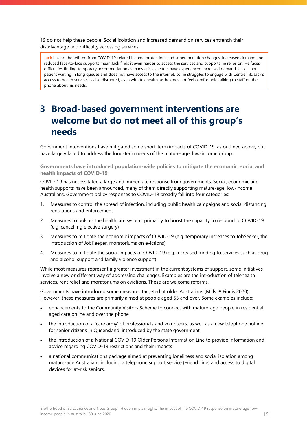19 do not help these people. Social isolation and increased demand on services entrench their disadvantage and difficulty accessing services.

**Jack** has not benefitted from COVID-19-related income protections and superannuation changes. Increased demand and reduced face-to-face supports mean Jack finds it even harder to access the services and supports he relies on. He faces difficulties finding temporary accommodation as many crisis shelters have experienced increased demand. Jack is not patient waiting in long queues and does not have access to the internet, so he struggles to engage with Centrelink. Jack's access to health services is also disrupted, even with telehealth, as he does not feel comfortable talking to staff on the phone about his needs.

### **3 Broad-based government interventions are welcome but do not meet all of this group's needs**

Government interventions have mitigated some short-term impacts of COVID-19, as outlined above, but have largely failed to address the long-term needs of the mature-age, low-income group.

**Governments have introduced population-wide policies to mitigate the economic, social and health impacts of COVID-19**

COVID-19 has necessitated a large and immediate response from governments. Social, economic and health supports have been announced, many of them directly supporting mature-age, low-income Australians. Government policy responses to COVID-19 broadly fall into four categories:

- 1. Measures to control the spread of infection, including public health campaigns and social distancing regulations and enforcement
- 2. Measures to bolster the healthcare system, primarily to boost the capacity to respond to COVID-19 (e.g. cancelling elective surgery)
- 3. Measures to mitigate the economic impacts of COVID-19 (e.g. temporary increases to JobSeeker, the introduction of JobKeeper, moratoriums on evictions)
- 4. Measures to mitigate the social impacts of COVID-19 (e.g. increased funding to services such as drug and alcohol support and family violence support)

While most measures represent a greater investment in the current systems of support, some initiatives involve a new or different way of addressing challenges. Examples are the introduction of telehealth services, rent relief and moratoriums on evictions. These are welcome reforms.

Governments have introduced some measures targeted at older Australians (Mills & Finnis 2020). However, these measures are primarily aimed at people aged 65 and over. Some examples include:

- enhancements to the Community Visitors Scheme to connect with mature-age people in residential aged care online and over the phone
- the introduction of a 'care army' of professionals and volunteers, as well as a new telephone hotline for senior citizens in Queensland, introduced by the state government
- the introduction of a National COVID-19 Older Persons Information Line to provide information and advice regarding COVID-19 restrictions and their impacts
- a national communications package aimed at preventing loneliness and social isolation among mature-age Australians including a telephone support service (Friend Line) and access to digital devices for at-risk seniors.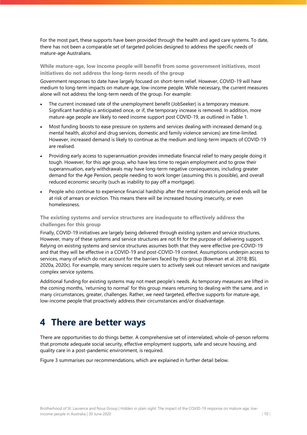For the most part, these supports have been provided through the health and aged care systems. To date, there has not been a comparable set of targeted policies designed to address the specific needs of mature-age Australians.

**While mature-age, low income people will benefit from some government initiatives, most initiatives do not address the long-term needs of the group**

Government responses to date have largely focused on short-term relief. However, COVID-19 will have medium to long-term impacts on mature-age, low-income people. While necessary, the current measures alone will not address the long-term needs of the group. For example:

- The current increased rate of the unemployment benefit (JobSeeker) is a temporary measure. Significant hardship is anticipated once, or if, the temporary increase is removed. In addition, more mature-age people are likely to need income support post COVID-19, as outlined in [Table 1.](#page-7-0)
- Most funding boosts to ease pressure on systems and services dealing with increased demand (e.g. mental health, alcohol and drug services, domestic and family violence services) are time-limited. However, increased demand is likely to continue as the medium and long-term impacts of COVID-19 are realised.
- Providing early access to superannuation provides immediate financial relief to many people doing it tough. However, for this age group, who have less time to regain employment and to grow their superannuation, early withdrawals may have long-term negative consequences, including greater demand for the Age Pension, people needing to work longer (assuming this is possible), and overall reduced economic security (such as inability to pay off a mortgage).
- People who continue to experience financial hardship after the rental moratorium period ends will be at risk of arrears or eviction. This means there will be increased housing insecurity, or even homelessness.

**The existing systems and service structures are inadequate to effectively address the challenges for this group**

Finally, COVID-19 initiatives are largely being delivered through existing system and service structures. However, many of these systems and service structures are not fit for the purpose of delivering support. Relying on existing systems and service structures assumes both that they were effective pre-COVID-19 and that they will be effective in a COVID-19 and post-COVID-19 context. Assumptions underpin access to services, many of which do not account for the barriers faced by this group (Bowman et al. 2018; BSL 2020a, 2020c). For example, many services require users to actively seek out relevant services and navigate complex service systems.

Additional funding for existing systems may not meet people's needs. As temporary measures are lifted in the coming months, 'returning to normal' for this group means returning to dealing with the same, and in many circumstances, greater, challenges. Rather, we need targeted, effective supports for mature-age, low-income people that proactively address their circumstances and/or disadvantage.

### **4 There are better ways**

There are opportunities to do things better. A comprehensive set of interrelated, whole-of-person reforms that promote adequate social security, effective employment supports, safe and secure housing, and quality care in a post-pandemic environment, is required.

[Figure 3](#page-12-0) summarises our recommendations, which are explained in further detail below.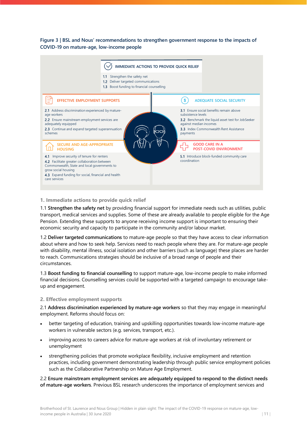<span id="page-12-0"></span>**Figure 3 | BSL and Nous' recommendations to strengthen government response to the impacts of COVID-19 on mature-age, low-income people**



#### **1. Immediate actions to provide quick relief**

1.1 **Strengthen the safety net** by providing financial support for immediate needs such as utilities, public transport, medical services and supplies. Some of these are already available to people eligible for the Age Pension. Extending these supports to anyone receiving income support is important to ensuring their economic security and capacity to participate in the community and/or labour market.

1.2 **Deliver targeted communications** to mature-age people so that they have access to clear information about where and how to seek help. Services need to reach people where they are. For mature-age people with disability, mental illness, social isolation and other barriers (such as language) these places are harder to reach. Communications strategies should be inclusive of a broad range of people and their circumstances.

1.3 **Boost funding to financial counselling** to support mature-age, low-income people to make informed financial decisions. Counselling services could be supported with a targeted campaign to encourage takeup and engagement.

#### **2. Effective employment supports**

2.1 **Address discrimination experienced by mature-age workers** so that they may engage in meaningful employment. Reforms should focus on:

- better targeting of education, training and upskilling opportunities towards low-income mature-age workers in vulnerable sectors (e.g. services, transport, etc.).
- improving access to careers advice for mature-age workers at risk of involuntary retirement or unemployment
- strengthening policies that promote workplace flexibility, inclusive employment and retention practices, including government demonstrating leadership through public service employment policies such as the Collaborative Partnership on Mature Age Employment.

2.2 **Ensure mainstream employment services are adequately equipped to respond to the distinct needs of mature-age workers**. Previous BSL research underscores the importance of employment services and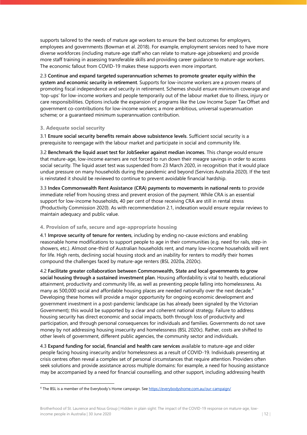supports tailored to the needs of mature age workers to ensure the best outcomes for employers, employees and governments (Bowman et al. 2018). For example, employment services need to have more diverse workforces (including mature-age staff who can relate to mature-age jobseekers) and provide more staff training in assessing transferable skills and providing career guidance to mature-age workers. The economic fallout from COVID-19 makes these supports even more important.

2.3 **Continue and expand targeted superannuation schemes to promote greater equity within the system and economic security in retirement**. Supports for low-income workers are a proven means of promoting fiscal independence and security in retirement. Schemes should ensure minimum coverage and 'top-ups' for low-income workers and people temporarily out of the labour market due to illness, injury or care responsibilities. Options include the expansion of programs like the Low Income Super Tax Offset and government co-contributions for low-income workers; a more ambitious, universal superannuation scheme; or a guaranteed minimum superannuation contribution.

#### **3. Adequate social security**

3.1 **Ensure social security benefits remain above subsistence levels**. Sufficient social security is a prerequisite to reengage with the labour market and participate in social and community life.

3.2 **Benchmark the liquid asset test for JobSeeker against median incomes**. This change would ensure that mature-age, low-income earners are not forced to run down their meagre savings in order to access social security. The liquid asset test was suspended from 23 March 2020, in recognition that it would place undue pressure on many households during the pandemic and beyond (Services Australia 2020). If the test is reinstated it should be reviewed to continue to prevent avoidable financial hardship.

3.3 **Index Commonwealth Rent Assistance (CRA) payments to movements in national rents** to provide immediate relief from housing stress and prevent erosion of the payment. While CRA is an essential support for low-income households, 40 per cent of those receiving CRA are still in rental stress (Productivity Commission 2020). As with recommendation 2.1, indexation would ensure regular reviews to maintain adequacy and public value.

### **4. Provision of safe, secure and age-appropriate housing**

4.1 **Improve security of tenure for renters**, including by ending no-cause evictions and enabling reasonable home modifications to support people to age in their communities (e.g. need for rails, step-in showers, etc.). Almost one-third of Australian households rent, and many low-income households will rent for life[. High rents, declining social housing stock and an inability for renters to modify their homes](https://www.ahuri.edu.au/research/final-reports/319) compound the challenges faced by mature-age renters (BSL 2020a, 2020c).

4.2 **Facilitate greater collaboration between Commonwealth, State and local governments to grow social housing through a sustained investment plan**. Housing affordability is vital to health, educational attainment, productivity and community life, as well as preventing people falling into homelessness. As many as 500,000 social and affordable housing places are needed nationally over the next decade.<sup>[4](#page-13-0)</sup> Developing these homes will provide a major opportunity for ongoing economic development and government investment in a post-pandemic landscape (as has already been signaled by the [Victorian](https://www.premier.vic.gov.au/delivering-new-homes-for-victorians-who-need-support/) Government); this would be supported by a clear and coherent national strategy. Failure to address housing security has direct economic and social impacts, both through loss of productivity and participation, and through personal consequences for individuals and families. Governments do not save money by not addressing housing insecurity and homelessness (BSL 2020c). Rather, costs are shifted to other levels of government, different public agencies, the community sector and individuals.

4.3 **Expand funding for social, financial and health care services** available to mature-age and older people facing housing insecurity and/or homelessness as a result of COVID-19. Individuals presenting at crisis centres often reveal a complex set of personal circumstances that require attention. Providers often seek solutions and provide assistance across multiple domains: for example, a need for housing assistance may be accompanied by a need for financial counselling, and other support, including addressing [health](https://aaeh.org.au/assets/docs/20200120-POLICY-PROPOSAL_Leaving-no-one-Behind.pdf) 

<span id="page-13-0"></span><sup>4</sup> The BSL is a member of the Everybody's Home campaign. Se[e https://everybodyshome.com.au/our-campaign/](https://everybodyshome.com.au/our-campaign/)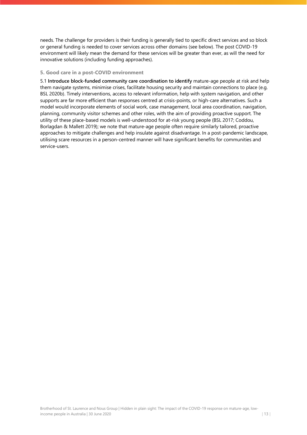[needs.](https://aaeh.org.au/assets/docs/20200120-POLICY-PROPOSAL_Leaving-no-one-Behind.pdf) The challenge for providers is their funding is generally tied to specific direct services and so block or general funding is needed to cover services across other domains (see below). The post COVID-19 environment will likely mean the demand for these services will be greater than ever, as will the need for innovative solutions (including funding approaches).

#### **5. Good care in a post-COVID environment**

5.1 **Introduce block-funded community care coordination to identify** mature-age people at risk and help them navigate systems, minimise crises, facilitate housing security and maintain connections to place (e.g. BSL 2020b). Timely interventions, access to relevant information, help with system navigation, and other supports are far more efficient than responses centred at crisis-points, or high-care alternatives. Such a model would incorporate elements of social work, case management, local area coordination, navigation, planning, community visitor schemes and other roles, with the aim of providing proactive support. The utility of these place-based models is well-understood for at-risk young people (BSL 2017; Coddou, Borlagdan & Mallett 2019); we note that mature-age people often require similarly tailored, proactive approaches to mitigate challenges and help insulate against disadvantage. In a post-pandemic landscape, utilising scare resources in a person-centred manner will have significant benefits for communities and service-users.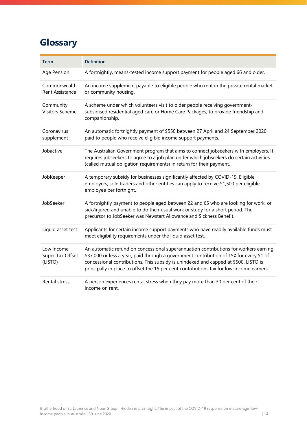## **Glossary**

| <b>Term</b>                               | <b>Definition</b>                                                                                                                                                                                                                                                                                                                                                  |
|-------------------------------------------|--------------------------------------------------------------------------------------------------------------------------------------------------------------------------------------------------------------------------------------------------------------------------------------------------------------------------------------------------------------------|
| Age Pension                               | A fortnightly, means-tested income support payment for people aged 66 and older.                                                                                                                                                                                                                                                                                   |
| Commonwealth<br>Rent Assistance           | An income supplement payable to eligible people who rent in the private rental market<br>or community housing.                                                                                                                                                                                                                                                     |
| Community<br><b>Visitors Scheme</b>       | A scheme under which volunteers visit to older people receiving government-<br>subsidised residential aged care or Home Care Packages, to provide friendship and<br>companionship.                                                                                                                                                                                 |
| Coronavirus<br>supplement                 | An automatic fortnightly payment of \$550 between 27 April and 24 September 2020<br>paid to people who receive eligible income support payments.                                                                                                                                                                                                                   |
| Jobactive                                 | The Australian Government program that aims to connect jobseekers with employers. It<br>requires jobseekers to agree to a job plan under which jobseekers do certain activities<br>(called mutual obligation requirements) in return for their payment.                                                                                                            |
| JobKeeper                                 | A temporary subsidy for businesses significantly affected by COVID-19. Eligible<br>employers, sole traders and other entities can apply to receive \$1,500 per eligible<br>employee per fortnight.                                                                                                                                                                 |
| JobSeeker                                 | A fortnightly payment to people aged between 22 and 65 who are looking for work, or<br>sick/injured and unable to do their usual work or study for a short period. The<br>precursor to JobSeeker was Newstart Allowance and Sickness Benefit.                                                                                                                      |
| Liquid asset test                         | Applicants for certain income support payments who have readily available funds must<br>meet eligibility requirements under the liquid asset test.                                                                                                                                                                                                                 |
| Low Income<br>Super Tax Offset<br>(LISTO) | An automatic refund on concessional superannuation contributions for workers earning<br>\$37,000 or less a year, paid through a government contribution of 15¢ for every \$1 of<br>concessional contributions. This subsidy is unindexed and capped at \$500. LISTO is<br>principally in place to offset the 15 per cent contributions tax for low-income earners. |
| Rental stress                             | A person experiences rental stress when they pay more than 30 per cent of their<br>income on rent.                                                                                                                                                                                                                                                                 |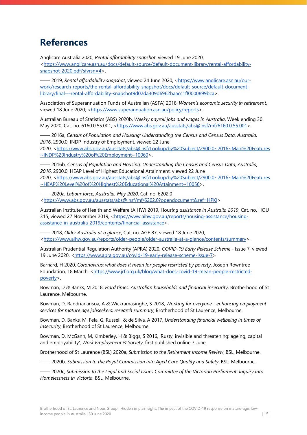### **References**

Anglicare Australia 2020, *Rental affordability snapshot*, viewed 19 June 2020, [<https://www.anglicare.asn.au/docs/default-source/default-document-library/rental-affordability](https://www.anglicare.asn.au/docs/default-source/default-document-library/rental-affordability-snapshot-2020.pdf?sfvrsn=4)[snapshot-2020.pdf?sfvrsn=4>](https://www.anglicare.asn.au/docs/default-source/default-document-library/rental-affordability-snapshot-2020.pdf?sfvrsn=4).

—— 2019, *Rental affordability snapshot*, viewed 24 June 2020, [<https://www.anglicare.asn.au/our](https://www.anglicare.asn.au/our-work/research-reports/the-rental-affordability-snapshot/docs/default-source/default-document-library/final---rental-affordability-snapshot9d02da309d6962baacc1ff0000899bca)[work/research-reports/the-rental-affordability-snapshot/docs/default-source/default-document](https://www.anglicare.asn.au/our-work/research-reports/the-rental-affordability-snapshot/docs/default-source/default-document-library/final---rental-affordability-snapshot9d02da309d6962baacc1ff0000899bca)[library/final---rental-affordability-snapshot9d02da309d6962baacc1ff0000899bca>](https://www.anglicare.asn.au/our-work/research-reports/the-rental-affordability-snapshot/docs/default-source/default-document-library/final---rental-affordability-snapshot9d02da309d6962baacc1ff0000899bca).

Association of Superannuation Funds of Australian (ASFA) 2018, *Women's economic security in retirement*, viewed 18 June 2020, [<https://www.superannuation.asn.au/policy/reports>](https://www.superannuation.asn.au/policy/reports).

Australian Bureau of Statistics (ABS) 2020b, *Weekly payroll jobs and wages in Australia*, Week ending 30 May 2020, Cat. no. 6160.0.55.001, [<https://www.abs.gov.au/ausstats/abs@.nsf/mf/6160.0.55.001>](https://www.abs.gov.au/ausstats/abs@.nsf/mf/6160.0.55.001).

—— 2016a, *Census of Population and Housing: Understanding the Census and Census Data, Australia, 2016*, 2900.0, INDP Industry of Employment, viewed 22 June 2020, [<https://www.abs.gov.au/ausstats/abs@.nsf/Lookup/by%20Subject/2900.0~2016~Main%20Features](https://www.abs.gov.au/ausstats/abs@.nsf/Lookup/by%20Subject/2900.0%7E2016%7EMain%20Features%7EINDP%20Industry%20of%20Employment%7E10060) [~INDP%20Industry%20of%20Employment~10060>](https://www.abs.gov.au/ausstats/abs@.nsf/Lookup/by%20Subject/2900.0%7E2016%7EMain%20Features%7EINDP%20Industry%20of%20Employment%7E10060).

—— 2016b, *Census of Population and Housing: Understanding the Census and Census Data, Australia, 2016*, 2900.0, HEAP Level of Highest Educational Attainment, viewed 22 June 2020, [<https://www.abs.gov.au/ausstats/abs@.nsf/Lookup/by%20Subject/2900.0~2016~Main%20Features](https://www.abs.gov.au/ausstats/abs@.nsf/Lookup/by%20Subject/2900.0%7E2016%7EMain%20Features%7EHEAP%20Level%20of%20Highest%20Educational%20Attainment%7E10056) [~HEAP%20Level%20of%20Highest%20Educational%20Attainment~10056>](https://www.abs.gov.au/ausstats/abs@.nsf/Lookup/by%20Subject/2900.0%7E2016%7EMain%20Features%7EHEAP%20Level%20of%20Highest%20Educational%20Attainment%7E10056).

—— 2020a, *Labour force, Australia, May 2020*, Cat. no. 6202.0 [<https://www.abs.gov.au/ausstats/abs@.nsf/mf/6202.0?opendocument&ref=HPKI>](https://www.abs.gov.au/ausstats/abs@.nsf/mf/6202.0?opendocument&ref=HPKI)

Australian Institute of Health and Welfare (AIHW) 2019, Hou*sing assistance in Australia 2019*, Cat. no. HOU 315, viewed 27 November 2019, [<https://www.aihw.gov.au/reports/housing-assistance/housing](https://www.aihw.gov.au/reports/housing-assistance/housing-assistance-in-australia-2019/contents/financial-assistance)[assistance-in-australia-2019/contents/financial-assistance>](https://www.aihw.gov.au/reports/housing-assistance/housing-assistance-in-australia-2019/contents/financial-assistance).

—— 2018, *Older Australia at a glance*, Cat. no. AGE 87, viewed 18 June 2020, [<https://www.aihw.gov.au/reports/older-people/older-australia-at-a-glance/contents/summary>](https://www.aihw.gov.au/reports/older-people/older-australia-at-a-glance/contents/summary).

Australian Prudential Regulation Authority (APRA) 2020, *COVID-19 Early Release Scheme* - Issue 7, viewed 19 June 2020, [<https://www.apra.gov.au/covid-19-early-release-scheme-issue-7>](https://www.apra.gov.au/covid-19-early-release-scheme-issue-7)

Barnard, H 2020, *Coronavirus: what does it mean for people restricted by poverty*, Joseph Rowntree Foundation, 18 March, [<https://www.jrf.org.uk/blog/what-does-covid-19-mean-people-restricted](https://www.jrf.org.uk/blog/what-does-covid-19-mean-people-restricted-poverty)[poverty>](https://www.jrf.org.uk/blog/what-does-covid-19-mean-people-restricted-poverty).

Bowman, D & Banks, M 2018, *Hard times: Australian households and financial insecurity*, Brotherhood of St Laurence, Melbourne.

Bowman, D, Randrianarisoa, A & Wickramasinghe, S 2018, *Working for everyone - enhancing employment services for mature age jobseekers; research summary*, Brotherhood of St Laurence, Melbourne.

Bowman, D, Banks, M, Fela, G, Russell, & de Silva, A 2017, *Understanding financial wellbeing in times of insecurity*, Brotherhood of St Laurence, Melbourne.

Bowman, D, McGann, M, Kimberley, H & Biggs, S 2016, 'Rusty, invisible and threatening: ageing, capital and employability', *Work Employment & Society*, first published online 7 June.

Brotherhood of St Laurence (BSL) 2020a, *Submission to the Retirement Income Review*, BSL, Melbourne.

—— 2020b, *Submission to the Royal Commission into Aged Care Quality and Safety*, BSL, Melbourne.

—— 2020c, *Submission to the Legal and Social Issues Committee of the Victorian Parliament: Inquiry into Homelessness in Victoria*, BSL, Melbourne.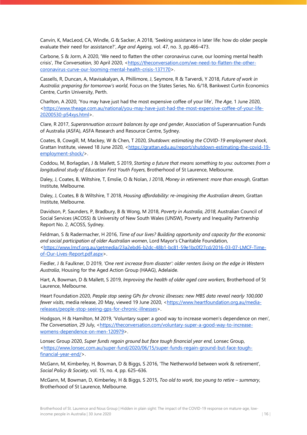Canvin, K, MacLeod, CA, Windle, G & Sacker, A 2018, 'Seeking assistance in later life: how do older people evaluate their need for assistance?', *Age and Ageing*, vol. 47, no. 3, pp.466–473.

Carbone, S & Jorm, A 2020, 'We need to flatten the other coronavirus curve, our looming mental health crisis', The Conversation, 30 April 2020, [<https://theconversation.com/we-need-to-flatten-the-other](https://theconversation.com/we-need-to-flatten-the-other-coronavirus-curve-our-looming-mental-health-crisis-137170)[coronavirus-curve-our-looming-mental-health-crisis-137170>](https://theconversation.com/we-need-to-flatten-the-other-coronavirus-curve-our-looming-mental-health-crisis-137170).

Cassells, R, Duncan, A, Mavisakalyan, A, Phillimore, J, Seymore, R & Tarverdi, Y 2018, *Future of work in Australia: preparing for tomorrow's world*, Focus on the States Series, No. 6/18, Bankwest Curtin Economics Centre, Curtin University, Perth.

Charlton, A 2020, 'You may have just had the most expensive coffee of your life', *The Age*, 1 June 2020, [<https://www.theage.com.au/national/you-may-have-just-had-the-most-expensive-coffee-of-your-life-](https://www.theage.com.au/national/you-may-have-just-had-the-most-expensive-coffee-of-your-life-20200530-p54xys.html)[20200530-p54xys.html>](https://www.theage.com.au/national/you-may-have-just-had-the-most-expensive-coffee-of-your-life-20200530-p54xys.html).

Clare, R 2017, *Superannuation account balances by age and gender*, Association of Superannuation Funds of Australia (ASFA), ASFA Research and Resource Centre, Sydney.

Coates, B, Cowgill, M, Mackey, W & Chen, T 2020, *Shutdown: estimating the COVID-19 employment shock*, Grattan Institute, viewed 18 June 2020, [<https://grattan.edu.au/report/shutdown-estimating-the-covid-19](https://grattan.edu.au/report/shutdown-estimating-the-covid-19-employment-shock/) [employment-shock/>](https://grattan.edu.au/report/shutdown-estimating-the-covid-19-employment-shock/).

Coddou, M, Borlagdan, J & Mallett, S 2019, *Starting a future that means something to you: outcomes from a longitudinal study of Education First Youth Foyers*, Brotherhood of St Laurence, Melbourne.

Daley, J, Coates, B, Wiltshire, T, Emslie, O & Nolan, J 2018, *Money in retirement: more than enough,* Grattan Institute, Melbourne*.*

Daley, J, Coates, B & Wiltshire, T 2018, *Housing affordability: re-imagining the Australian dream*, Grattan Institute, Melbourne.

Davidson, P, Saunders, P, Bradbury, B & Wong, M 2018, *Poverty in Australia, 2018,* Australian Council of Social Services (ACOSS) & University of New South Wales (UNSW), Poverty and Inequality Partnership Report No. 2, ACOSS, Sydney.

Feldman, S & Radermacher, H 2016, *Time of our lives? Building opportunity and capacity for the economic and social participation of older Australian women*, Lord Mayor's Charitable Foundation, [<https://www.lmcf.org.au/getmedia/23a2ebd6-b2dc-48b1-bc81-59e1bc0f27cd/2016-03-07-LMCF-Time](https://www.lmcf.org.au/getmedia/23a2ebd6-b2dc-48b1-bc81-59e1bc0f27cd/2016-03-07-LMCF-Time-of-Our-Lives-Report.pdf.aspx)[of-Our-Lives-Report.pdf.aspx>](https://www.lmcf.org.au/getmedia/23a2ebd6-b2dc-48b1-bc81-59e1bc0f27cd/2016-03-07-LMCF-Time-of-Our-Lives-Report.pdf.aspx).

Fiedler, J & Faulkner, D 2019, *'One rent increase from disaster': older renters living on the edge in Western Australia*, Housing for the Aged Action Group (HAAG), Adelaide.

Hart, A, Bowman, D & Mallett, S 2019, *Improving the health of older aged care workers,* Brotherhood of St Laurence, Melbourne.

Heart Foundation 2020, *People stop seeing GPs for chronic illnesses: new MBS data reveal nearly 100,000 fewer visits*, media release, 20 May, viewed 19 June 2020, [<https://www.heartfoundation.org.au/media](https://www.heartfoundation.org.au/media-releases/people-stop-seeing-gps-for-chronic-illnesses)[releases/people-stop-seeing-gps-for-chronic-illnesses>](https://www.heartfoundation.org.au/media-releases/people-stop-seeing-gps-for-chronic-illnesses).

Hodgson, H & Hamilton, M 2019, 'Voluntary super: a good way to increase women's dependence on men', The Conversation, 29 July, [<https://theconversation.com/voluntary-super-a-good-way-to-increase](https://theconversation.com/voluntary-super-a-good-way-to-increase-womens-dependence-on-men-120979)[womens-dependence-on-men-120979>](https://theconversation.com/voluntary-super-a-good-way-to-increase-womens-dependence-on-men-120979).

Lonsec Group 2020, *Super funds regain ground but face tough financial year end*, Lonsec Group, [<https://www.lonsec.com.au/super-fund/2020/06/15/super-funds-regain-ground-but-face-tough](https://www.lonsec.com.au/super-fund/2020/06/15/super-funds-regain-ground-but-face-tough-financial-year-end/)[financial-year-end/>](https://www.lonsec.com.au/super-fund/2020/06/15/super-funds-regain-ground-but-face-tough-financial-year-end/).

McGann, M, Kimberley, H, Bowman, D & Biggs, S 2016, 'The Netherworld between work & retirement', *Social Policy & Society*, vol. 15, no. 4, pp. 625–636.

McGann, M, Bowman, D, Kimberley, H & Biggs, S 2015, *Too old to work, too young to retire – summary*, Brotherhood of St Laurence, Melbourne.